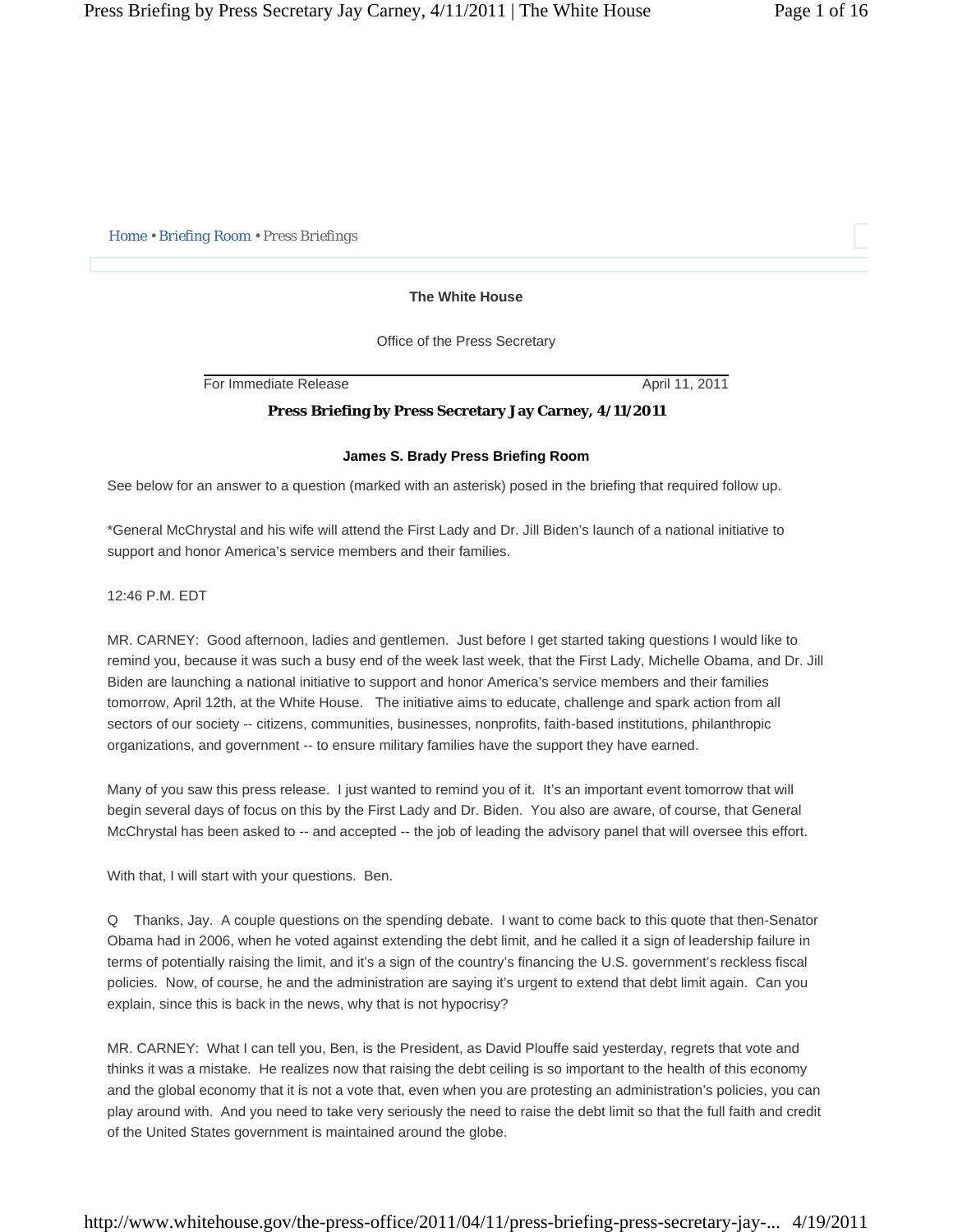*Home • Briefing Room • Press Briefings* 

## **The White House**

Office of the Press Secretary

For Immediate Release April 11, 2011

# **Press Briefing by Press Secretary Jay Carney, 4/11/2011**

## **James S. Brady Press Briefing Room**

See below for an answer to a question (marked with an asterisk) posed in the briefing that required follow up.

\*General McChrystal and his wife will attend the First Lady and Dr. Jill Biden's launch of a national initiative to support and honor America's service members and their families.

12:46 P.M. EDT

MR. CARNEY: Good afternoon, ladies and gentlemen. Just before I get started taking questions I would like to remind you, because it was such a busy end of the week last week, that the First Lady, Michelle Obama, and Dr. Jill Biden are launching a national initiative to support and honor America's service members and their families tomorrow, April 12th, at the White House. The initiative aims to educate, challenge and spark action from all sectors of our society -- citizens, communities, businesses, nonprofits, faith-based institutions, philanthropic organizations, and government -- to ensure military families have the support they have earned.

Many of you saw this press release. I just wanted to remind you of it. It's an important event tomorrow that will begin several days of focus on this by the First Lady and Dr. Biden. You also are aware, of course, that General McChrystal has been asked to -- and accepted -- the job of leading the advisory panel that will oversee this effort.

With that, I will start with your questions. Ben.

Q Thanks, Jay. A couple questions on the spending debate. I want to come back to this quote that then-Senator Obama had in 2006, when he voted against extending the debt limit, and he called it a sign of leadership failure in terms of potentially raising the limit, and it's a sign of the country's financing the U.S. government's reckless fiscal policies. Now, of course, he and the administration are saying it's urgent to extend that debt limit again. Can you explain, since this is back in the news, why that is not hypocrisy?

MR. CARNEY: What I can tell you, Ben, is the President, as David Plouffe said yesterday, regrets that vote and thinks it was a mistake. He realizes now that raising the debt ceiling is so important to the health of this economy and the global economy that it is not a vote that, even when you are protesting an administration's policies, you can play around with. And you need to take very seriously the need to raise the debt limit so that the full faith and credit of the United States government is maintained around the globe.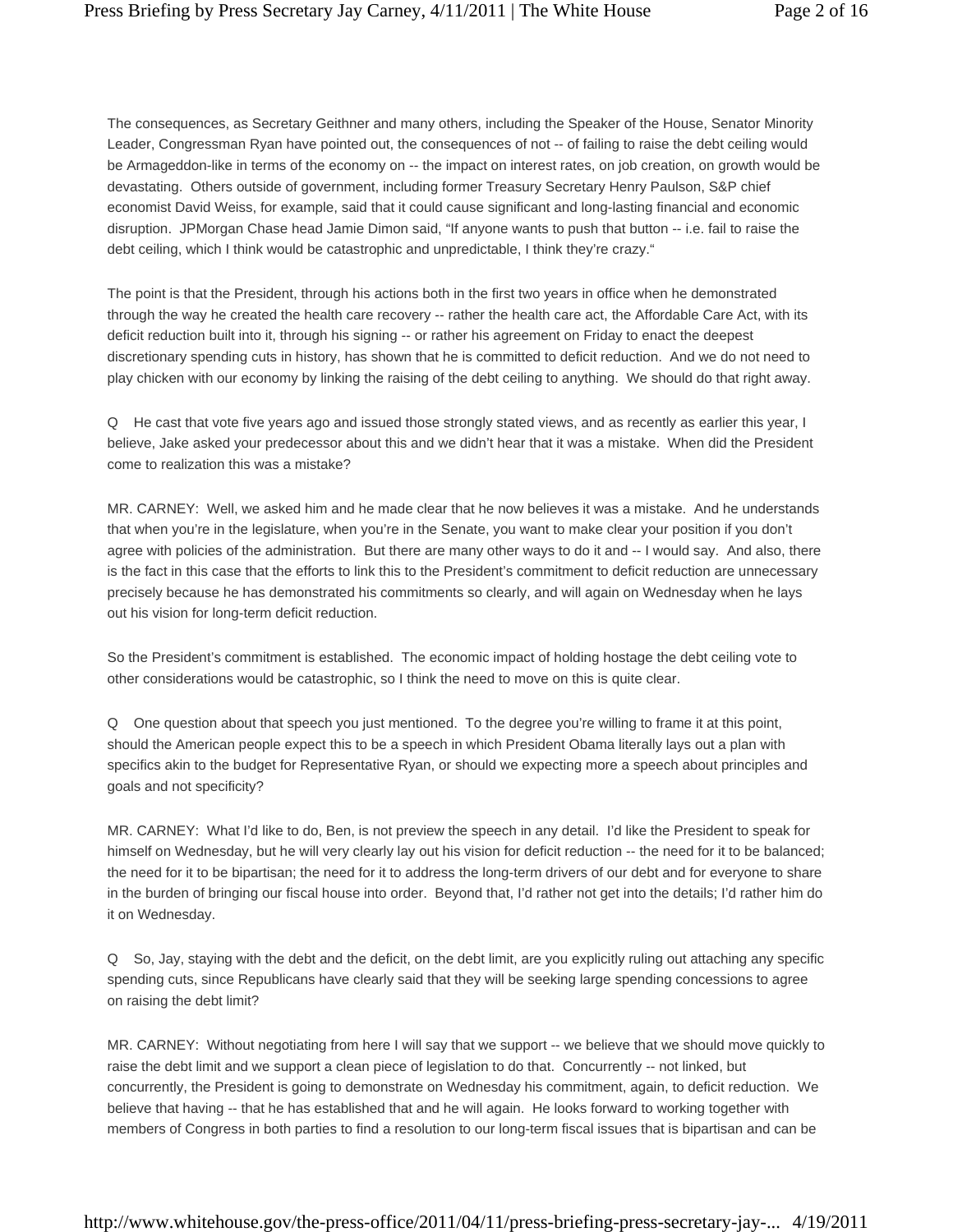The consequences, as Secretary Geithner and many others, including the Speaker of the House, Senator Minority Leader, Congressman Ryan have pointed out, the consequences of not -- of failing to raise the debt ceiling would be Armageddon-like in terms of the economy on -- the impact on interest rates, on job creation, on growth would be devastating. Others outside of government, including former Treasury Secretary Henry Paulson, S&P chief economist David Weiss, for example, said that it could cause significant and long-lasting financial and economic disruption. JPMorgan Chase head Jamie Dimon said, "If anyone wants to push that button -- i.e. fail to raise the debt ceiling, which I think would be catastrophic and unpredictable, I think they're crazy."

The point is that the President, through his actions both in the first two years in office when he demonstrated through the way he created the health care recovery -- rather the health care act, the Affordable Care Act, with its deficit reduction built into it, through his signing -- or rather his agreement on Friday to enact the deepest discretionary spending cuts in history, has shown that he is committed to deficit reduction. And we do not need to play chicken with our economy by linking the raising of the debt ceiling to anything. We should do that right away.

Q He cast that vote five years ago and issued those strongly stated views, and as recently as earlier this year, I believe, Jake asked your predecessor about this and we didn't hear that it was a mistake. When did the President come to realization this was a mistake?

MR. CARNEY: Well, we asked him and he made clear that he now believes it was a mistake. And he understands that when you're in the legislature, when you're in the Senate, you want to make clear your position if you don't agree with policies of the administration. But there are many other ways to do it and -- I would say. And also, there is the fact in this case that the efforts to link this to the President's commitment to deficit reduction are unnecessary precisely because he has demonstrated his commitments so clearly, and will again on Wednesday when he lays out his vision for long-term deficit reduction.

So the President's commitment is established. The economic impact of holding hostage the debt ceiling vote to other considerations would be catastrophic, so I think the need to move on this is quite clear.

Q One question about that speech you just mentioned. To the degree you're willing to frame it at this point, should the American people expect this to be a speech in which President Obama literally lays out a plan with specifics akin to the budget for Representative Ryan, or should we expecting more a speech about principles and goals and not specificity?

MR. CARNEY: What I'd like to do, Ben, is not preview the speech in any detail. I'd like the President to speak for himself on Wednesday, but he will very clearly lay out his vision for deficit reduction -- the need for it to be balanced; the need for it to be bipartisan; the need for it to address the long-term drivers of our debt and for everyone to share in the burden of bringing our fiscal house into order. Beyond that, I'd rather not get into the details; I'd rather him do it on Wednesday.

Q So, Jay, staying with the debt and the deficit, on the debt limit, are you explicitly ruling out attaching any specific spending cuts, since Republicans have clearly said that they will be seeking large spending concessions to agree on raising the debt limit?

MR. CARNEY: Without negotiating from here I will say that we support -- we believe that we should move quickly to raise the debt limit and we support a clean piece of legislation to do that. Concurrently -- not linked, but concurrently, the President is going to demonstrate on Wednesday his commitment, again, to deficit reduction. We believe that having -- that he has established that and he will again. He looks forward to working together with members of Congress in both parties to find a resolution to our long-term fiscal issues that is bipartisan and can be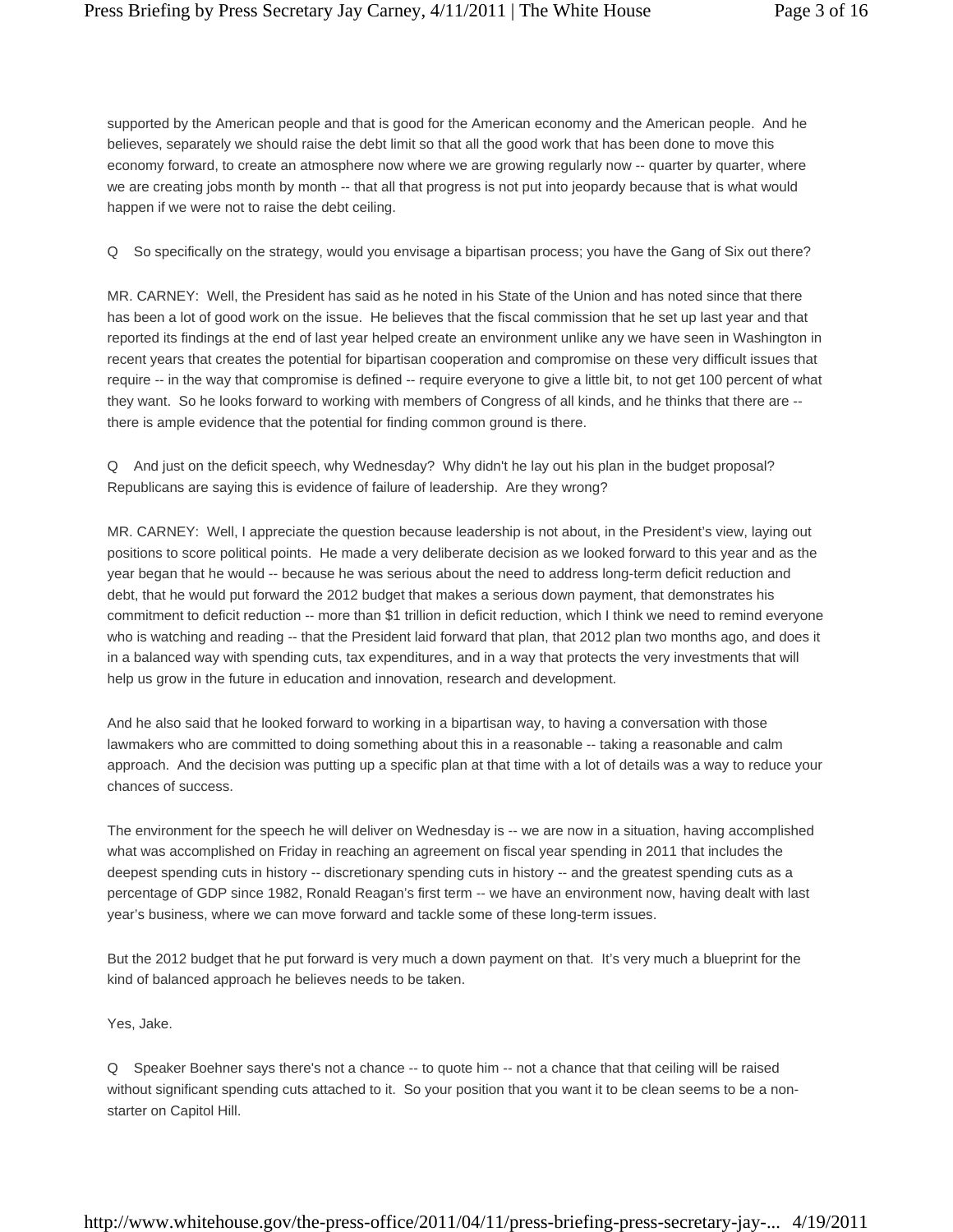supported by the American people and that is good for the American economy and the American people. And he believes, separately we should raise the debt limit so that all the good work that has been done to move this economy forward, to create an atmosphere now where we are growing regularly now -- quarter by quarter, where we are creating jobs month by month -- that all that progress is not put into jeopardy because that is what would happen if we were not to raise the debt ceiling.

Q So specifically on the strategy, would you envisage a bipartisan process; you have the Gang of Six out there?

MR. CARNEY: Well, the President has said as he noted in his State of the Union and has noted since that there has been a lot of good work on the issue. He believes that the fiscal commission that he set up last year and that reported its findings at the end of last year helped create an environment unlike any we have seen in Washington in recent years that creates the potential for bipartisan cooperation and compromise on these very difficult issues that require -- in the way that compromise is defined -- require everyone to give a little bit, to not get 100 percent of what they want. So he looks forward to working with members of Congress of all kinds, and he thinks that there are - there is ample evidence that the potential for finding common ground is there.

Q And just on the deficit speech, why Wednesday? Why didn't he lay out his plan in the budget proposal? Republicans are saying this is evidence of failure of leadership. Are they wrong?

MR. CARNEY: Well, I appreciate the question because leadership is not about, in the President's view, laying out positions to score political points. He made a very deliberate decision as we looked forward to this year and as the year began that he would -- because he was serious about the need to address long-term deficit reduction and debt, that he would put forward the 2012 budget that makes a serious down payment, that demonstrates his commitment to deficit reduction -- more than \$1 trillion in deficit reduction, which I think we need to remind everyone who is watching and reading -- that the President laid forward that plan, that 2012 plan two months ago, and does it in a balanced way with spending cuts, tax expenditures, and in a way that protects the very investments that will help us grow in the future in education and innovation, research and development.

And he also said that he looked forward to working in a bipartisan way, to having a conversation with those lawmakers who are committed to doing something about this in a reasonable -- taking a reasonable and calm approach. And the decision was putting up a specific plan at that time with a lot of details was a way to reduce your chances of success.

The environment for the speech he will deliver on Wednesday is -- we are now in a situation, having accomplished what was accomplished on Friday in reaching an agreement on fiscal year spending in 2011 that includes the deepest spending cuts in history -- discretionary spending cuts in history -- and the greatest spending cuts as a percentage of GDP since 1982, Ronald Reagan's first term -- we have an environment now, having dealt with last year's business, where we can move forward and tackle some of these long-term issues.

But the 2012 budget that he put forward is very much a down payment on that. It's very much a blueprint for the kind of balanced approach he believes needs to be taken.

Yes, Jake.

Q Speaker Boehner says there's not a chance -- to quote him -- not a chance that that ceiling will be raised without significant spending cuts attached to it. So your position that you want it to be clean seems to be a nonstarter on Capitol Hill.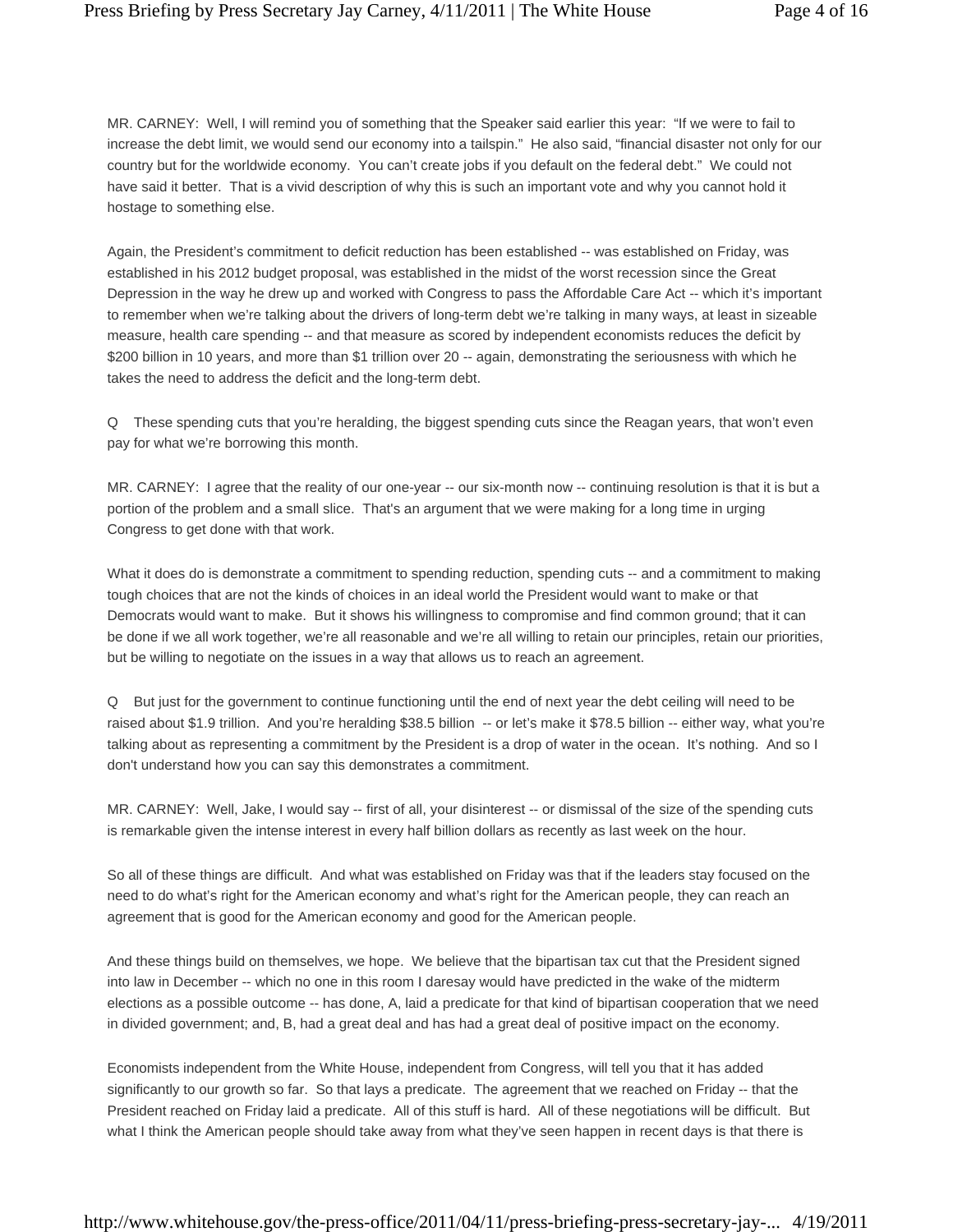MR. CARNEY: Well, I will remind you of something that the Speaker said earlier this year: "If we were to fail to increase the debt limit, we would send our economy into a tailspin." He also said, "financial disaster not only for our country but for the worldwide economy. You can't create jobs if you default on the federal debt." We could not have said it better. That is a vivid description of why this is such an important vote and why you cannot hold it hostage to something else.

Again, the President's commitment to deficit reduction has been established -- was established on Friday, was established in his 2012 budget proposal, was established in the midst of the worst recession since the Great Depression in the way he drew up and worked with Congress to pass the Affordable Care Act -- which it's important to remember when we're talking about the drivers of long-term debt we're talking in many ways, at least in sizeable measure, health care spending -- and that measure as scored by independent economists reduces the deficit by \$200 billion in 10 years, and more than \$1 trillion over 20 -- again, demonstrating the seriousness with which he takes the need to address the deficit and the long-term debt.

Q These spending cuts that you're heralding, the biggest spending cuts since the Reagan years, that won't even pay for what we're borrowing this month.

MR. CARNEY: I agree that the reality of our one-year -- our six-month now -- continuing resolution is that it is but a portion of the problem and a small slice. That's an argument that we were making for a long time in urging Congress to get done with that work.

What it does do is demonstrate a commitment to spending reduction, spending cuts -- and a commitment to making tough choices that are not the kinds of choices in an ideal world the President would want to make or that Democrats would want to make. But it shows his willingness to compromise and find common ground; that it can be done if we all work together, we're all reasonable and we're all willing to retain our principles, retain our priorities, but be willing to negotiate on the issues in a way that allows us to reach an agreement.

Q But just for the government to continue functioning until the end of next year the debt ceiling will need to be raised about \$1.9 trillion. And you're heralding \$38.5 billion -- or let's make it \$78.5 billion -- either way, what you're talking about as representing a commitment by the President is a drop of water in the ocean. It's nothing. And so I don't understand how you can say this demonstrates a commitment.

MR. CARNEY: Well, Jake, I would say -- first of all, your disinterest -- or dismissal of the size of the spending cuts is remarkable given the intense interest in every half billion dollars as recently as last week on the hour.

So all of these things are difficult. And what was established on Friday was that if the leaders stay focused on the need to do what's right for the American economy and what's right for the American people, they can reach an agreement that is good for the American economy and good for the American people.

And these things build on themselves, we hope. We believe that the bipartisan tax cut that the President signed into law in December -- which no one in this room I daresay would have predicted in the wake of the midterm elections as a possible outcome -- has done, A, laid a predicate for that kind of bipartisan cooperation that we need in divided government; and, B, had a great deal and has had a great deal of positive impact on the economy.

Economists independent from the White House, independent from Congress, will tell you that it has added significantly to our growth so far. So that lays a predicate. The agreement that we reached on Friday -- that the President reached on Friday laid a predicate. All of this stuff is hard. All of these negotiations will be difficult. But what I think the American people should take away from what they've seen happen in recent days is that there is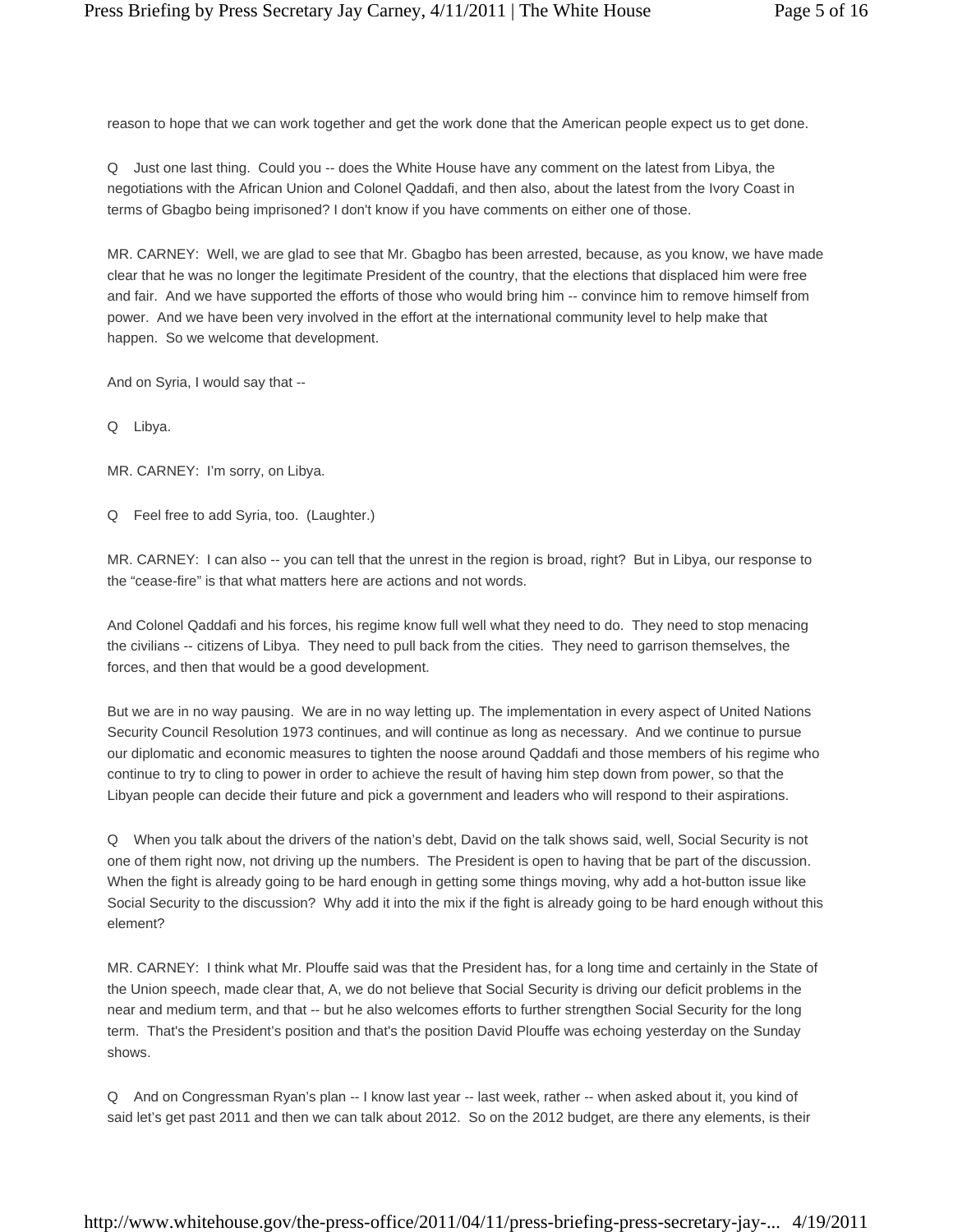reason to hope that we can work together and get the work done that the American people expect us to get done.

Q Just one last thing. Could you -- does the White House have any comment on the latest from Libya, the negotiations with the African Union and Colonel Qaddafi, and then also, about the latest from the Ivory Coast in terms of Gbagbo being imprisoned? I don't know if you have comments on either one of those.

MR. CARNEY: Well, we are glad to see that Mr. Gbagbo has been arrested, because, as you know, we have made clear that he was no longer the legitimate President of the country, that the elections that displaced him were free and fair. And we have supported the efforts of those who would bring him -- convince him to remove himself from power. And we have been very involved in the effort at the international community level to help make that happen. So we welcome that development.

And on Syria, I would say that --

Q Libya.

MR. CARNEY: I'm sorry, on Libya.

Q Feel free to add Syria, too. (Laughter.)

MR. CARNEY: I can also -- you can tell that the unrest in the region is broad, right? But in Libya, our response to the "cease-fire" is that what matters here are actions and not words.

And Colonel Qaddafi and his forces, his regime know full well what they need to do. They need to stop menacing the civilians -- citizens of Libya. They need to pull back from the cities. They need to garrison themselves, the forces, and then that would be a good development.

But we are in no way pausing. We are in no way letting up. The implementation in every aspect of United Nations Security Council Resolution 1973 continues, and will continue as long as necessary. And we continue to pursue our diplomatic and economic measures to tighten the noose around Qaddafi and those members of his regime who continue to try to cling to power in order to achieve the result of having him step down from power, so that the Libyan people can decide their future and pick a government and leaders who will respond to their aspirations.

Q When you talk about the drivers of the nation's debt, David on the talk shows said, well, Social Security is not one of them right now, not driving up the numbers. The President is open to having that be part of the discussion. When the fight is already going to be hard enough in getting some things moving, why add a hot-button issue like Social Security to the discussion? Why add it into the mix if the fight is already going to be hard enough without this element?

MR. CARNEY: I think what Mr. Plouffe said was that the President has, for a long time and certainly in the State of the Union speech, made clear that, A, we do not believe that Social Security is driving our deficit problems in the near and medium term, and that -- but he also welcomes efforts to further strengthen Social Security for the long term. That's the President's position and that's the position David Plouffe was echoing yesterday on the Sunday shows.

Q And on Congressman Ryan's plan -- I know last year -- last week, rather -- when asked about it, you kind of said let's get past 2011 and then we can talk about 2012. So on the 2012 budget, are there any elements, is their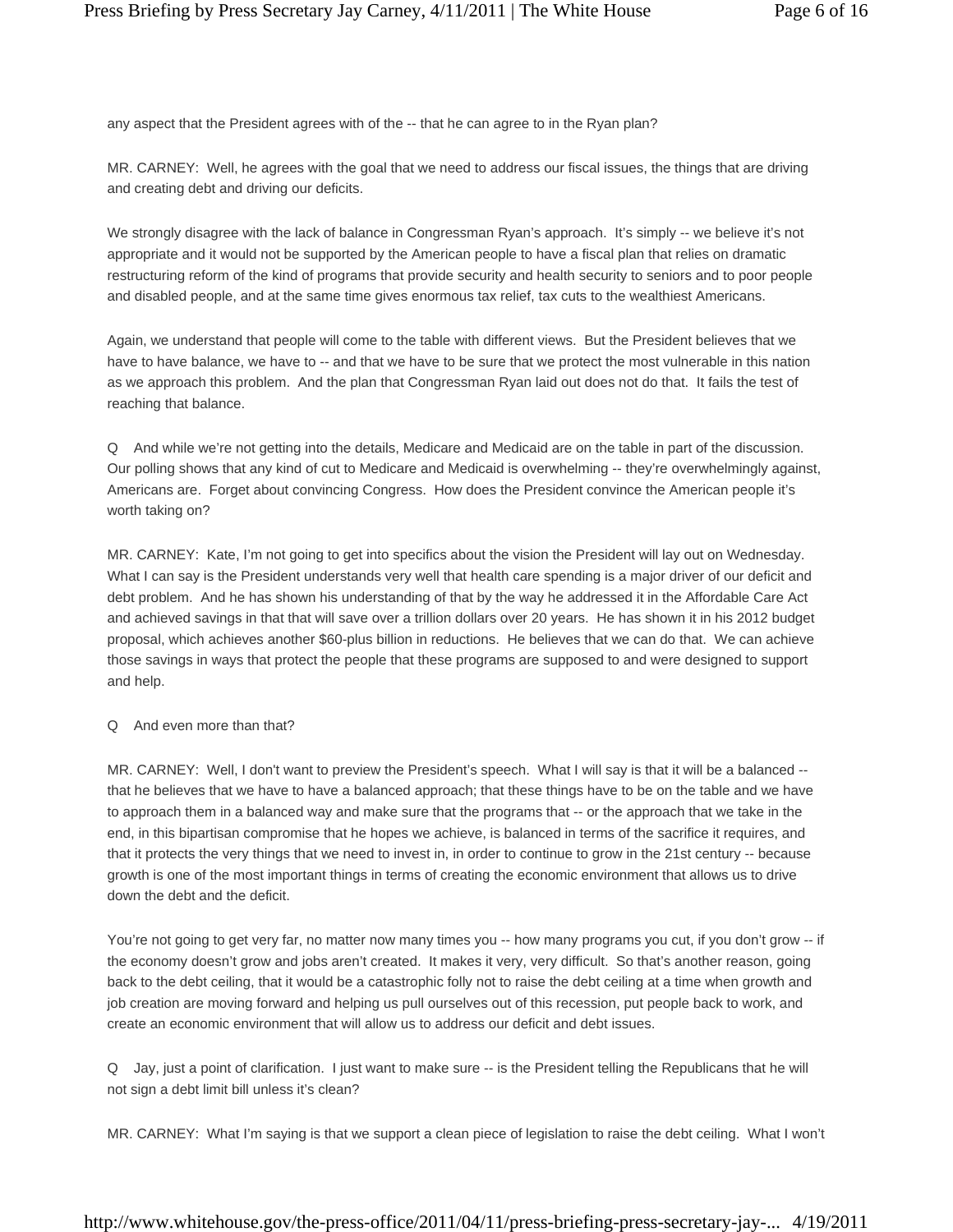any aspect that the President agrees with of the -- that he can agree to in the Ryan plan?

MR. CARNEY: Well, he agrees with the goal that we need to address our fiscal issues, the things that are driving and creating debt and driving our deficits.

We strongly disagree with the lack of balance in Congressman Ryan's approach. It's simply -- we believe it's not appropriate and it would not be supported by the American people to have a fiscal plan that relies on dramatic restructuring reform of the kind of programs that provide security and health security to seniors and to poor people and disabled people, and at the same time gives enormous tax relief, tax cuts to the wealthiest Americans.

Again, we understand that people will come to the table with different views. But the President believes that we have to have balance, we have to -- and that we have to be sure that we protect the most vulnerable in this nation as we approach this problem. And the plan that Congressman Ryan laid out does not do that. It fails the test of reaching that balance.

Q And while we're not getting into the details, Medicare and Medicaid are on the table in part of the discussion. Our polling shows that any kind of cut to Medicare and Medicaid is overwhelming -- they're overwhelmingly against, Americans are. Forget about convincing Congress. How does the President convince the American people it's worth taking on?

MR. CARNEY: Kate, I'm not going to get into specifics about the vision the President will lay out on Wednesday. What I can say is the President understands very well that health care spending is a major driver of our deficit and debt problem. And he has shown his understanding of that by the way he addressed it in the Affordable Care Act and achieved savings in that that will save over a trillion dollars over 20 years. He has shown it in his 2012 budget proposal, which achieves another \$60-plus billion in reductions. He believes that we can do that. We can achieve those savings in ways that protect the people that these programs are supposed to and were designed to support and help.

#### Q And even more than that?

MR. CARNEY: Well, I don't want to preview the President's speech. What I will say is that it will be a balanced - that he believes that we have to have a balanced approach; that these things have to be on the table and we have to approach them in a balanced way and make sure that the programs that -- or the approach that we take in the end, in this bipartisan compromise that he hopes we achieve, is balanced in terms of the sacrifice it requires, and that it protects the very things that we need to invest in, in order to continue to grow in the 21st century -- because growth is one of the most important things in terms of creating the economic environment that allows us to drive down the debt and the deficit.

You're not going to get very far, no matter now many times you -- how many programs you cut, if you don't grow -- if the economy doesn't grow and jobs aren't created. It makes it very, very difficult. So that's another reason, going back to the debt ceiling, that it would be a catastrophic folly not to raise the debt ceiling at a time when growth and job creation are moving forward and helping us pull ourselves out of this recession, put people back to work, and create an economic environment that will allow us to address our deficit and debt issues.

Q Jay, just a point of clarification. I just want to make sure -- is the President telling the Republicans that he will not sign a debt limit bill unless it's clean?

MR. CARNEY: What I'm saying is that we support a clean piece of legislation to raise the debt ceiling. What I won't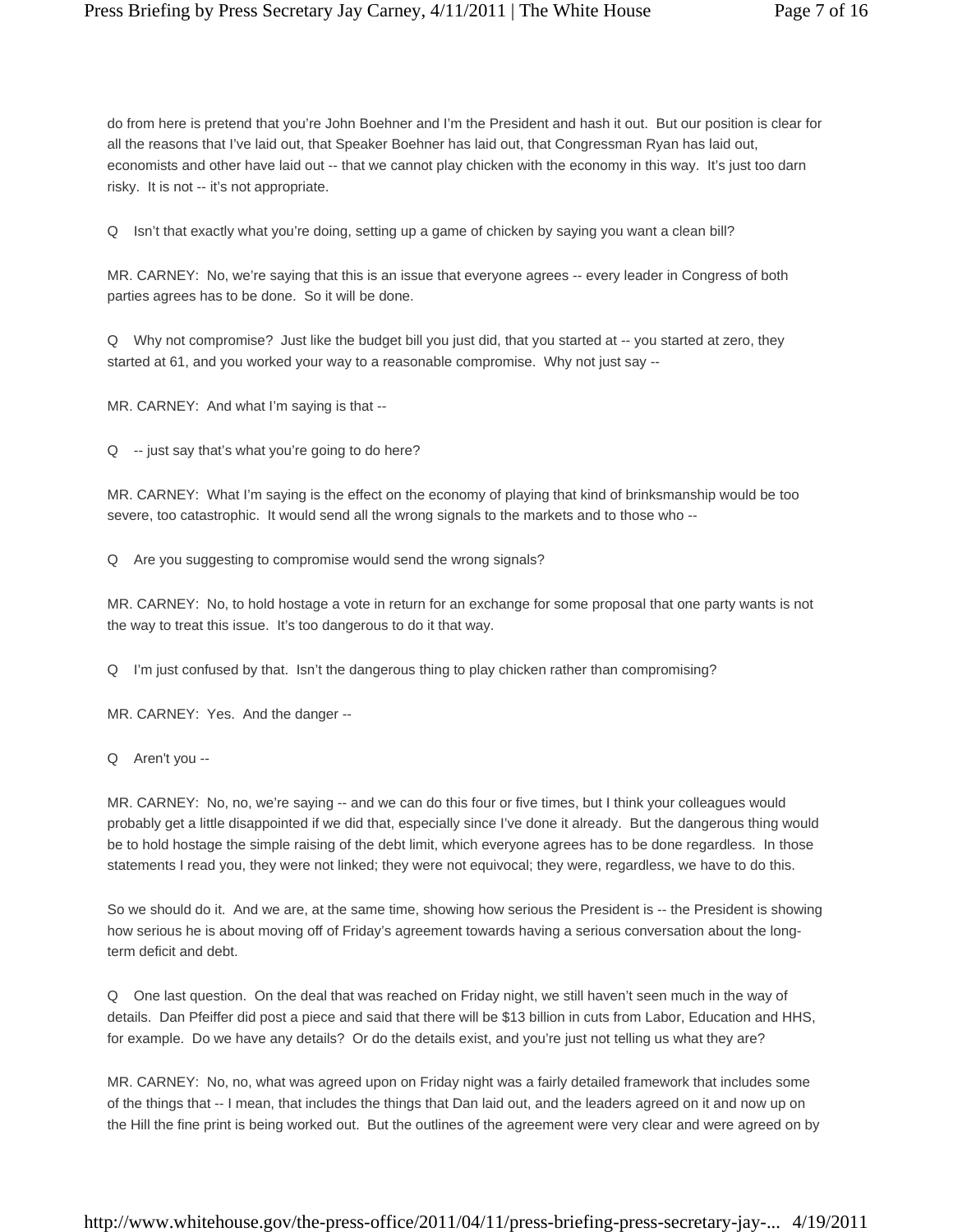do from here is pretend that you're John Boehner and I'm the President and hash it out. But our position is clear for all the reasons that I've laid out, that Speaker Boehner has laid out, that Congressman Ryan has laid out, economists and other have laid out -- that we cannot play chicken with the economy in this way. It's just too darn risky. It is not -- it's not appropriate.

Q Isn't that exactly what you're doing, setting up a game of chicken by saying you want a clean bill?

MR. CARNEY: No, we're saying that this is an issue that everyone agrees -- every leader in Congress of both parties agrees has to be done. So it will be done.

Q Why not compromise? Just like the budget bill you just did, that you started at -- you started at zero, they started at 61, and you worked your way to a reasonable compromise. Why not just say --

MR. CARNEY: And what I'm saying is that --

Q -- just say that's what you're going to do here?

MR. CARNEY: What I'm saying is the effect on the economy of playing that kind of brinksmanship would be too severe, too catastrophic. It would send all the wrong signals to the markets and to those who --

Q Are you suggesting to compromise would send the wrong signals?

MR. CARNEY: No, to hold hostage a vote in return for an exchange for some proposal that one party wants is not the way to treat this issue. It's too dangerous to do it that way.

Q I'm just confused by that. Isn't the dangerous thing to play chicken rather than compromising?

MR. CARNEY: Yes. And the danger --

Q Aren't you --

MR. CARNEY: No, no, we're saying -- and we can do this four or five times, but I think your colleagues would probably get a little disappointed if we did that, especially since I've done it already. But the dangerous thing would be to hold hostage the simple raising of the debt limit, which everyone agrees has to be done regardless. In those statements I read you, they were not linked; they were not equivocal; they were, regardless, we have to do this.

So we should do it. And we are, at the same time, showing how serious the President is -- the President is showing how serious he is about moving off of Friday's agreement towards having a serious conversation about the longterm deficit and debt.

Q One last question. On the deal that was reached on Friday night, we still haven't seen much in the way of details. Dan Pfeiffer did post a piece and said that there will be \$13 billion in cuts from Labor, Education and HHS, for example. Do we have any details? Or do the details exist, and you're just not telling us what they are?

MR. CARNEY: No, no, what was agreed upon on Friday night was a fairly detailed framework that includes some of the things that -- I mean, that includes the things that Dan laid out, and the leaders agreed on it and now up on the Hill the fine print is being worked out. But the outlines of the agreement were very clear and were agreed on by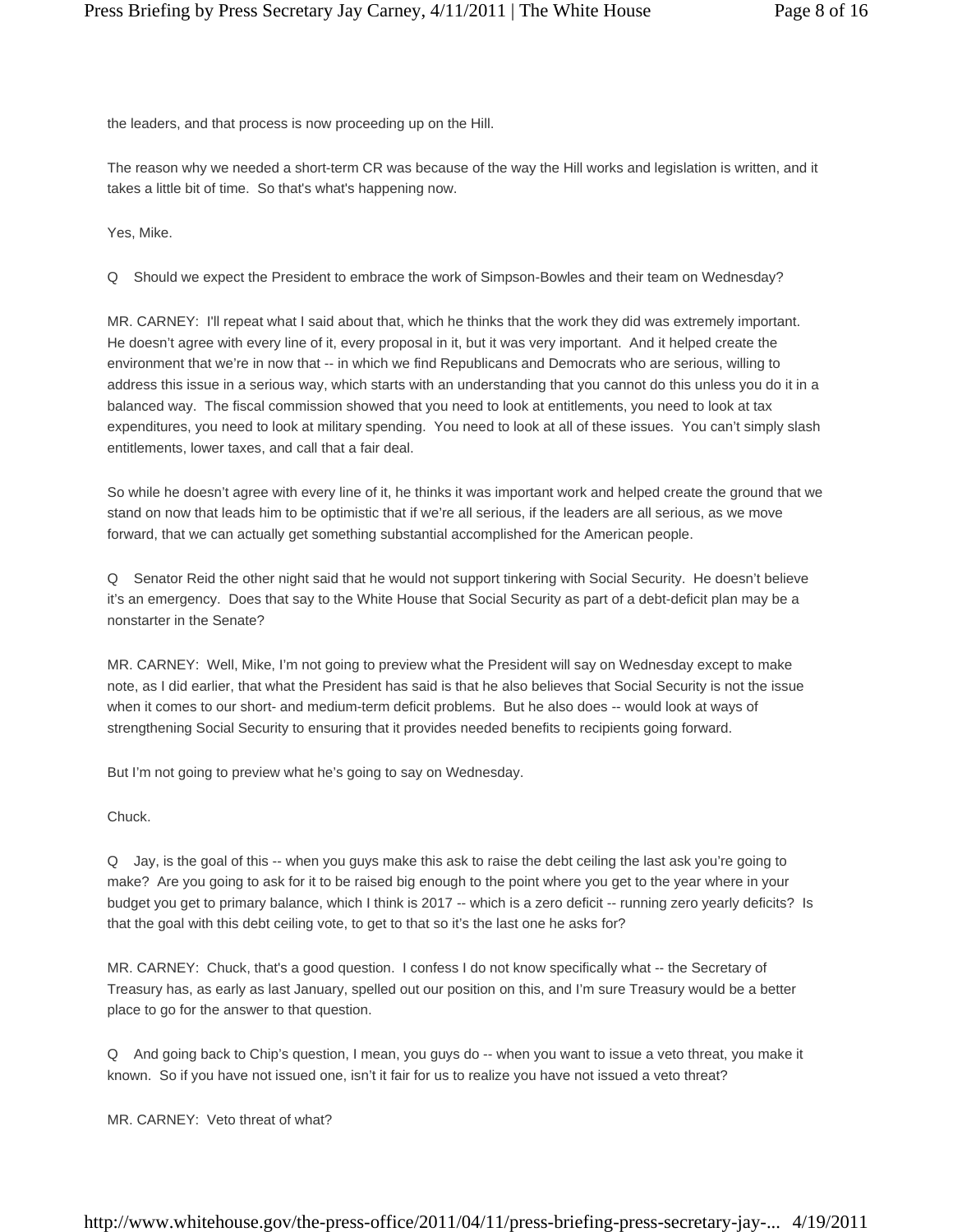the leaders, and that process is now proceeding up on the Hill.

The reason why we needed a short-term CR was because of the way the Hill works and legislation is written, and it takes a little bit of time. So that's what's happening now.

Yes, Mike.

Q Should we expect the President to embrace the work of Simpson-Bowles and their team on Wednesday?

MR. CARNEY: I'll repeat what I said about that, which he thinks that the work they did was extremely important. He doesn't agree with every line of it, every proposal in it, but it was very important. And it helped create the environment that we're in now that -- in which we find Republicans and Democrats who are serious, willing to address this issue in a serious way, which starts with an understanding that you cannot do this unless you do it in a balanced way. The fiscal commission showed that you need to look at entitlements, you need to look at tax expenditures, you need to look at military spending. You need to look at all of these issues. You can't simply slash entitlements, lower taxes, and call that a fair deal.

So while he doesn't agree with every line of it, he thinks it was important work and helped create the ground that we stand on now that leads him to be optimistic that if we're all serious, if the leaders are all serious, as we move forward, that we can actually get something substantial accomplished for the American people.

Q Senator Reid the other night said that he would not support tinkering with Social Security. He doesn't believe it's an emergency. Does that say to the White House that Social Security as part of a debt-deficit plan may be a nonstarter in the Senate?

MR. CARNEY: Well, Mike, I'm not going to preview what the President will say on Wednesday except to make note, as I did earlier, that what the President has said is that he also believes that Social Security is not the issue when it comes to our short- and medium-term deficit problems. But he also does -- would look at ways of strengthening Social Security to ensuring that it provides needed benefits to recipients going forward.

But I'm not going to preview what he's going to say on Wednesday.

Chuck.

Q Jay, is the goal of this -- when you guys make this ask to raise the debt ceiling the last ask you're going to make? Are you going to ask for it to be raised big enough to the point where you get to the year where in your budget you get to primary balance, which I think is 2017 -- which is a zero deficit -- running zero yearly deficits? Is that the goal with this debt ceiling vote, to get to that so it's the last one he asks for?

MR. CARNEY: Chuck, that's a good question. I confess I do not know specifically what -- the Secretary of Treasury has, as early as last January, spelled out our position on this, and I'm sure Treasury would be a better place to go for the answer to that question.

Q And going back to Chip's question, I mean, you guys do -- when you want to issue a veto threat, you make it known. So if you have not issued one, isn't it fair for us to realize you have not issued a veto threat?

MR. CARNEY: Veto threat of what?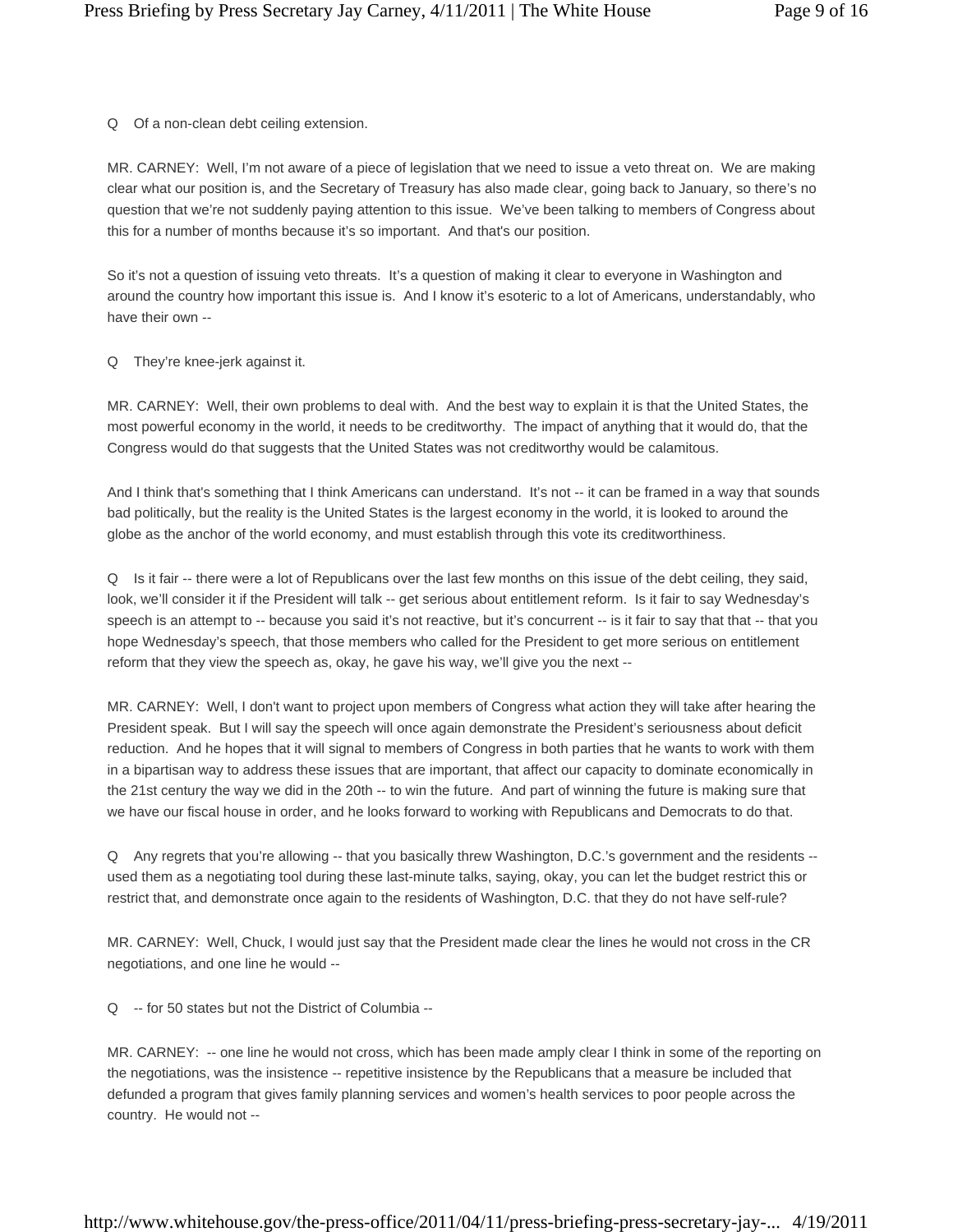Q Of a non-clean debt ceiling extension.

MR. CARNEY: Well, I'm not aware of a piece of legislation that we need to issue a veto threat on. We are making clear what our position is, and the Secretary of Treasury has also made clear, going back to January, so there's no question that we're not suddenly paying attention to this issue. We've been talking to members of Congress about this for a number of months because it's so important. And that's our position.

So it's not a question of issuing veto threats. It's a question of making it clear to everyone in Washington and around the country how important this issue is. And I know it's esoteric to a lot of Americans, understandably, who have their own --

Q They're knee-jerk against it.

MR. CARNEY: Well, their own problems to deal with. And the best way to explain it is that the United States, the most powerful economy in the world, it needs to be creditworthy. The impact of anything that it would do, that the Congress would do that suggests that the United States was not creditworthy would be calamitous.

And I think that's something that I think Americans can understand. It's not -- it can be framed in a way that sounds bad politically, but the reality is the United States is the largest economy in the world, it is looked to around the globe as the anchor of the world economy, and must establish through this vote its creditworthiness.

Q Is it fair -- there were a lot of Republicans over the last few months on this issue of the debt ceiling, they said, look, we'll consider it if the President will talk -- get serious about entitlement reform. Is it fair to say Wednesday's speech is an attempt to -- because you said it's not reactive, but it's concurrent -- is it fair to say that that -- that you hope Wednesday's speech, that those members who called for the President to get more serious on entitlement reform that they view the speech as, okay, he gave his way, we'll give you the next --

MR. CARNEY: Well, I don't want to project upon members of Congress what action they will take after hearing the President speak. But I will say the speech will once again demonstrate the President's seriousness about deficit reduction. And he hopes that it will signal to members of Congress in both parties that he wants to work with them in a bipartisan way to address these issues that are important, that affect our capacity to dominate economically in the 21st century the way we did in the 20th -- to win the future. And part of winning the future is making sure that we have our fiscal house in order, and he looks forward to working with Republicans and Democrats to do that.

Q Any regrets that you're allowing -- that you basically threw Washington, D.C.'s government and the residents - used them as a negotiating tool during these last-minute talks, saying, okay, you can let the budget restrict this or restrict that, and demonstrate once again to the residents of Washington, D.C. that they do not have self-rule?

MR. CARNEY: Well, Chuck, I would just say that the President made clear the lines he would not cross in the CR negotiations, and one line he would --

Q -- for 50 states but not the District of Columbia --

MR. CARNEY: -- one line he would not cross, which has been made amply clear I think in some of the reporting on the negotiations, was the insistence -- repetitive insistence by the Republicans that a measure be included that defunded a program that gives family planning services and women's health services to poor people across the country. He would not --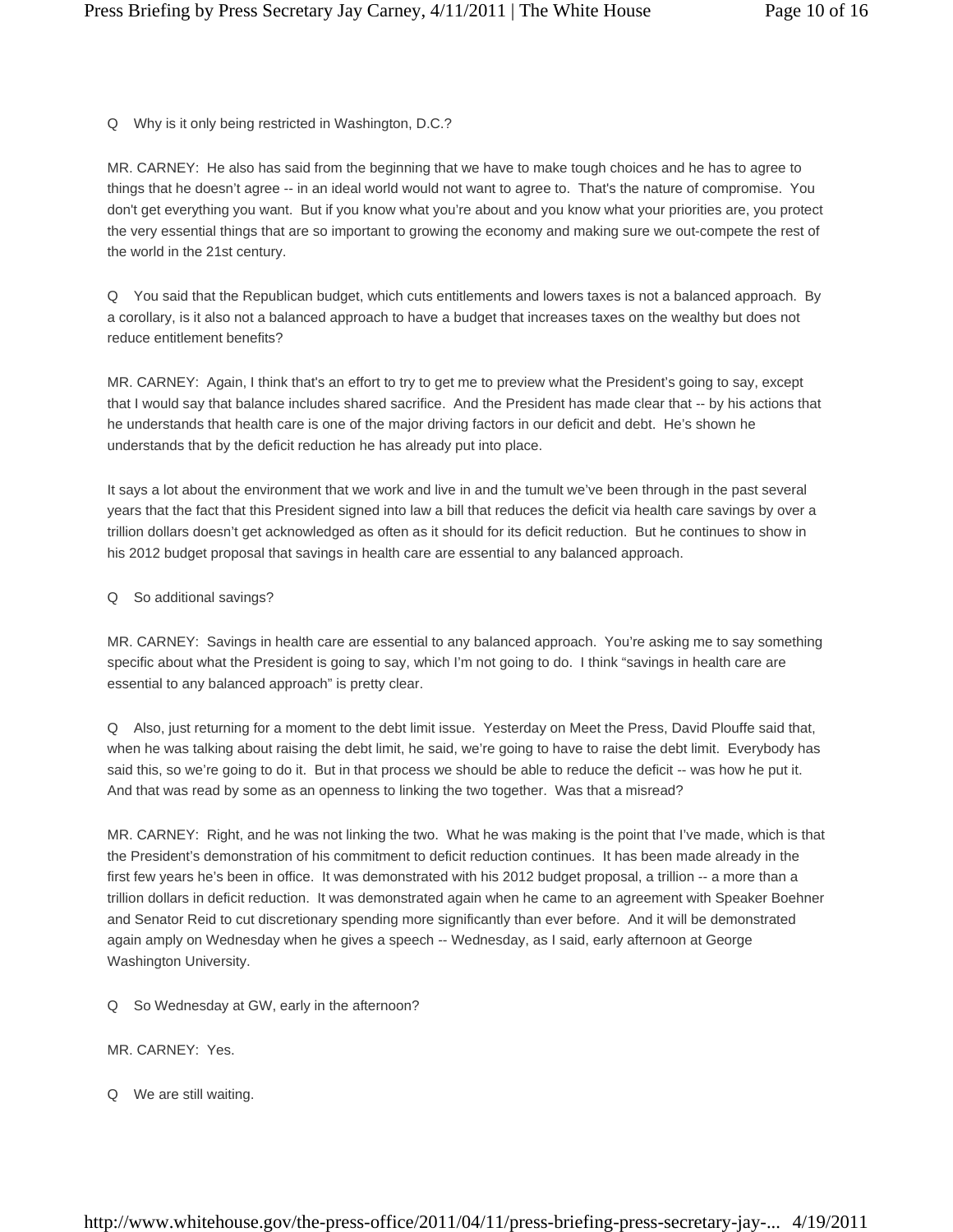Q Why is it only being restricted in Washington, D.C.?

MR. CARNEY: He also has said from the beginning that we have to make tough choices and he has to agree to things that he doesn't agree -- in an ideal world would not want to agree to. That's the nature of compromise. You don't get everything you want. But if you know what you're about and you know what your priorities are, you protect the very essential things that are so important to growing the economy and making sure we out-compete the rest of the world in the 21st century.

Q You said that the Republican budget, which cuts entitlements and lowers taxes is not a balanced approach. By a corollary, is it also not a balanced approach to have a budget that increases taxes on the wealthy but does not reduce entitlement benefits?

MR. CARNEY: Again, I think that's an effort to try to get me to preview what the President's going to say, except that I would say that balance includes shared sacrifice. And the President has made clear that -- by his actions that he understands that health care is one of the major driving factors in our deficit and debt. He's shown he understands that by the deficit reduction he has already put into place.

It says a lot about the environment that we work and live in and the tumult we've been through in the past several years that the fact that this President signed into law a bill that reduces the deficit via health care savings by over a trillion dollars doesn't get acknowledged as often as it should for its deficit reduction. But he continues to show in his 2012 budget proposal that savings in health care are essential to any balanced approach.

# Q So additional savings?

MR. CARNEY: Savings in health care are essential to any balanced approach. You're asking me to say something specific about what the President is going to say, which I'm not going to do. I think "savings in health care are essential to any balanced approach" is pretty clear.

Q Also, just returning for a moment to the debt limit issue. Yesterday on Meet the Press, David Plouffe said that, when he was talking about raising the debt limit, he said, we're going to have to raise the debt limit. Everybody has said this, so we're going to do it. But in that process we should be able to reduce the deficit -- was how he put it. And that was read by some as an openness to linking the two together. Was that a misread?

MR. CARNEY: Right, and he was not linking the two. What he was making is the point that I've made, which is that the President's demonstration of his commitment to deficit reduction continues. It has been made already in the first few years he's been in office. It was demonstrated with his 2012 budget proposal, a trillion -- a more than a trillion dollars in deficit reduction. It was demonstrated again when he came to an agreement with Speaker Boehner and Senator Reid to cut discretionary spending more significantly than ever before. And it will be demonstrated again amply on Wednesday when he gives a speech -- Wednesday, as I said, early afternoon at George Washington University.

- Q So Wednesday at GW, early in the afternoon?
- MR. CARNEY: Yes.
- Q We are still waiting.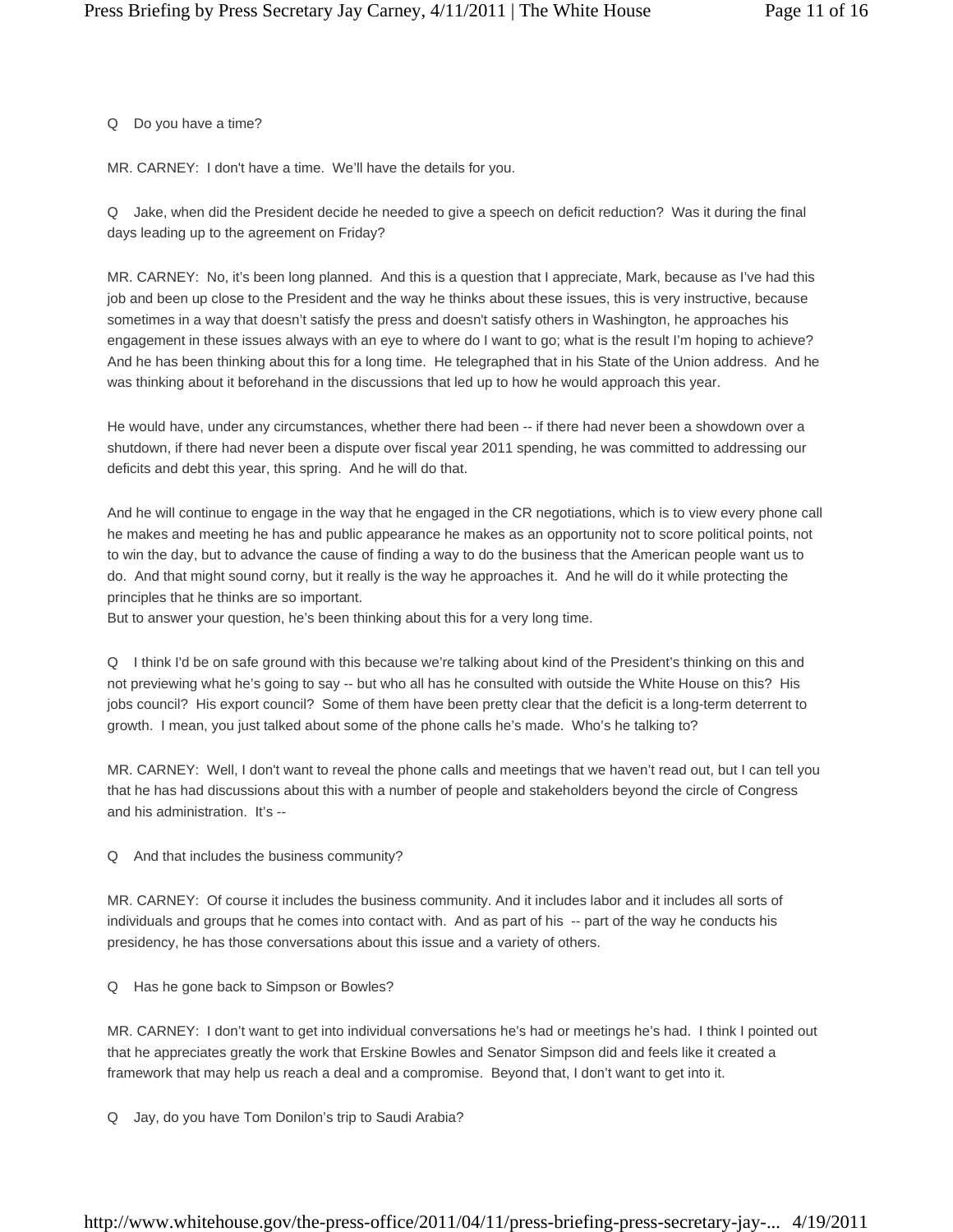Q Do you have a time?

MR. CARNEY: I don't have a time. We'll have the details for you.

Q Jake, when did the President decide he needed to give a speech on deficit reduction? Was it during the final days leading up to the agreement on Friday?

MR. CARNEY: No, it's been long planned. And this is a question that I appreciate, Mark, because as I've had this job and been up close to the President and the way he thinks about these issues, this is very instructive, because sometimes in a way that doesn't satisfy the press and doesn't satisfy others in Washington, he approaches his engagement in these issues always with an eye to where do I want to go; what is the result I'm hoping to achieve? And he has been thinking about this for a long time. He telegraphed that in his State of the Union address. And he was thinking about it beforehand in the discussions that led up to how he would approach this year.

He would have, under any circumstances, whether there had been -- if there had never been a showdown over a shutdown, if there had never been a dispute over fiscal year 2011 spending, he was committed to addressing our deficits and debt this year, this spring. And he will do that.

And he will continue to engage in the way that he engaged in the CR negotiations, which is to view every phone call he makes and meeting he has and public appearance he makes as an opportunity not to score political points, not to win the day, but to advance the cause of finding a way to do the business that the American people want us to do. And that might sound corny, but it really is the way he approaches it. And he will do it while protecting the principles that he thinks are so important.

But to answer your question, he's been thinking about this for a very long time.

Q I think I'd be on safe ground with this because we're talking about kind of the President's thinking on this and not previewing what he's going to say -- but who all has he consulted with outside the White House on this? His jobs council? His export council? Some of them have been pretty clear that the deficit is a long-term deterrent to growth. I mean, you just talked about some of the phone calls he's made. Who's he talking to?

MR. CARNEY: Well, I don't want to reveal the phone calls and meetings that we haven't read out, but I can tell you that he has had discussions about this with a number of people and stakeholders beyond the circle of Congress and his administration. It's --

Q And that includes the business community?

MR. CARNEY: Of course it includes the business community. And it includes labor and it includes all sorts of individuals and groups that he comes into contact with. And as part of his -- part of the way he conducts his presidency, he has those conversations about this issue and a variety of others.

Q Has he gone back to Simpson or Bowles?

MR. CARNEY: I don't want to get into individual conversations he's had or meetings he's had. I think I pointed out that he appreciates greatly the work that Erskine Bowles and Senator Simpson did and feels like it created a framework that may help us reach a deal and a compromise. Beyond that, I don't want to get into it.

Q Jay, do you have Tom Donilon's trip to Saudi Arabia?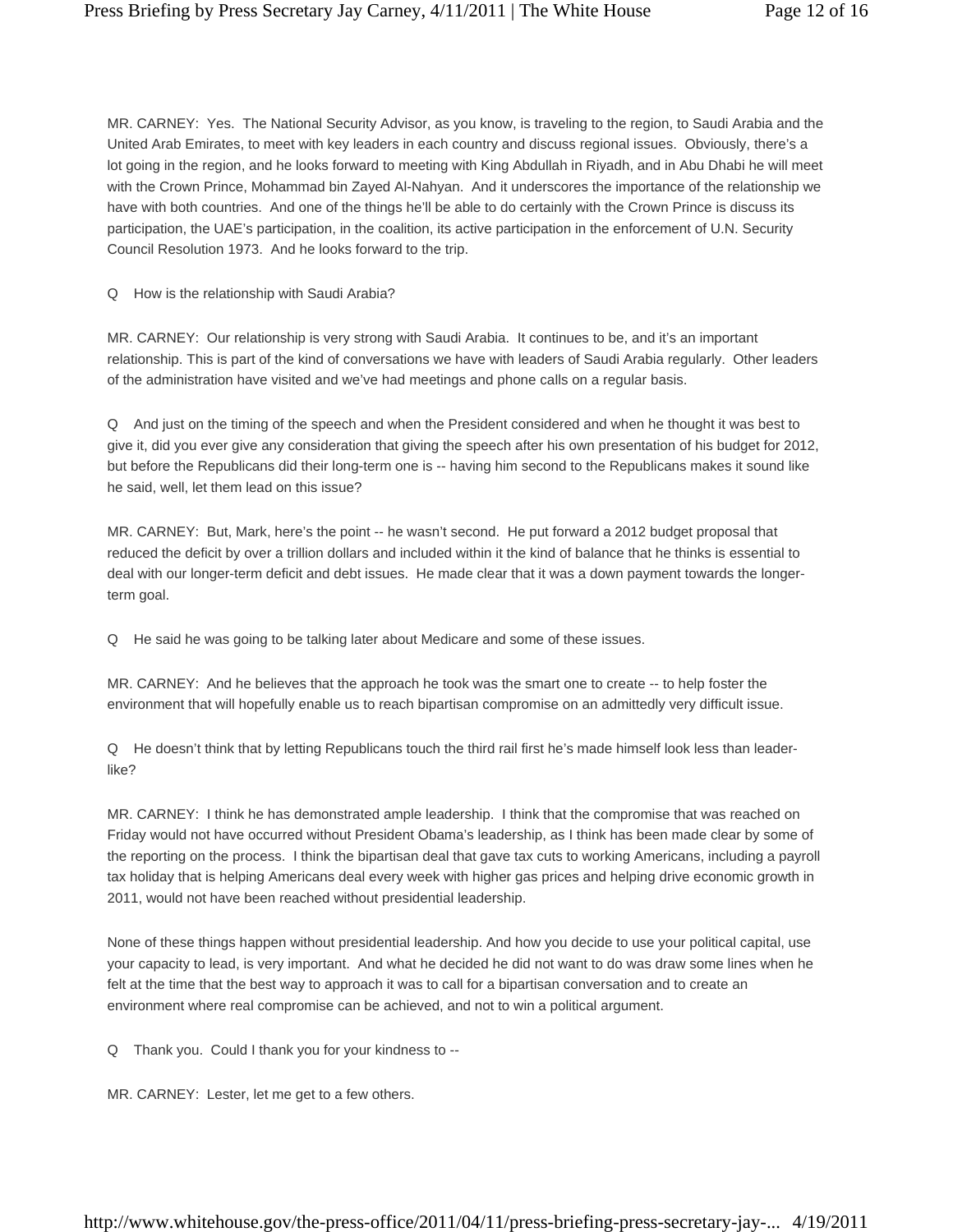MR. CARNEY: Yes. The National Security Advisor, as you know, is traveling to the region, to Saudi Arabia and the United Arab Emirates, to meet with key leaders in each country and discuss regional issues. Obviously, there's a lot going in the region, and he looks forward to meeting with King Abdullah in Riyadh, and in Abu Dhabi he will meet with the Crown Prince, Mohammad bin Zayed Al-Nahyan. And it underscores the importance of the relationship we have with both countries. And one of the things he'll be able to do certainly with the Crown Prince is discuss its participation, the UAE's participation, in the coalition, its active participation in the enforcement of U.N. Security Council Resolution 1973. And he looks forward to the trip.

Q How is the relationship with Saudi Arabia?

MR. CARNEY: Our relationship is very strong with Saudi Arabia. It continues to be, and it's an important relationship. This is part of the kind of conversations we have with leaders of Saudi Arabia regularly. Other leaders of the administration have visited and we've had meetings and phone calls on a regular basis.

Q And just on the timing of the speech and when the President considered and when he thought it was best to give it, did you ever give any consideration that giving the speech after his own presentation of his budget for 2012, but before the Republicans did their long-term one is -- having him second to the Republicans makes it sound like he said, well, let them lead on this issue?

MR. CARNEY: But, Mark, here's the point -- he wasn't second. He put forward a 2012 budget proposal that reduced the deficit by over a trillion dollars and included within it the kind of balance that he thinks is essential to deal with our longer-term deficit and debt issues. He made clear that it was a down payment towards the longerterm goal.

Q He said he was going to be talking later about Medicare and some of these issues.

MR. CARNEY: And he believes that the approach he took was the smart one to create -- to help foster the environment that will hopefully enable us to reach bipartisan compromise on an admittedly very difficult issue.

Q He doesn't think that by letting Republicans touch the third rail first he's made himself look less than leaderlike?

MR. CARNEY: I think he has demonstrated ample leadership. I think that the compromise that was reached on Friday would not have occurred without President Obama's leadership, as I think has been made clear by some of the reporting on the process. I think the bipartisan deal that gave tax cuts to working Americans, including a payroll tax holiday that is helping Americans deal every week with higher gas prices and helping drive economic growth in 2011, would not have been reached without presidential leadership.

None of these things happen without presidential leadership. And how you decide to use your political capital, use your capacity to lead, is very important. And what he decided he did not want to do was draw some lines when he felt at the time that the best way to approach it was to call for a bipartisan conversation and to create an environment where real compromise can be achieved, and not to win a political argument.

Q Thank you. Could I thank you for your kindness to --

MR. CARNEY: Lester, let me get to a few others.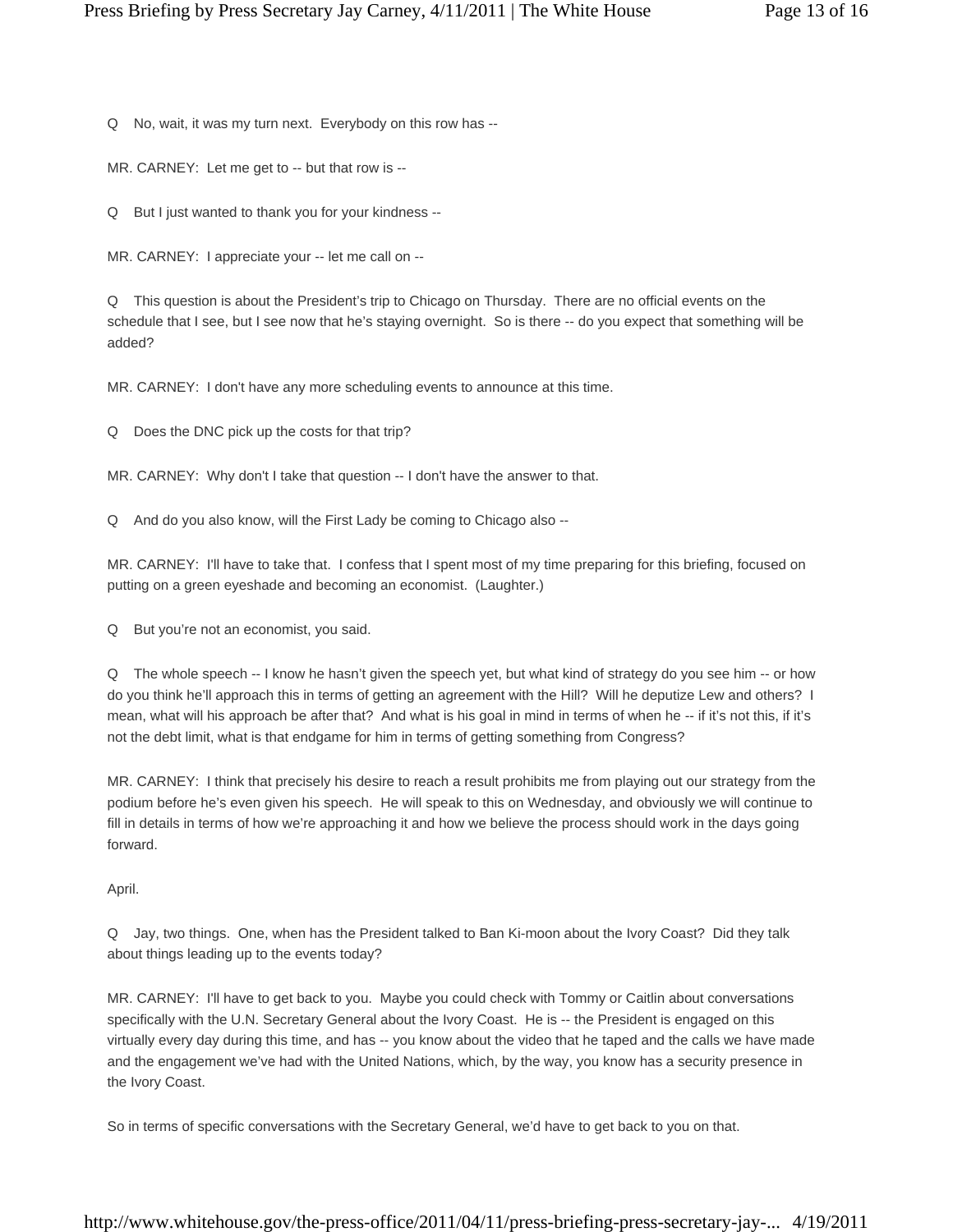Q No, wait, it was my turn next. Everybody on this row has --

MR. CARNEY: Let me get to -- but that row is --

Q But I just wanted to thank you for your kindness --

MR. CARNEY: I appreciate your -- let me call on --

Q This question is about the President's trip to Chicago on Thursday. There are no official events on the schedule that I see, but I see now that he's staying overnight. So is there -- do you expect that something will be added?

MR. CARNEY: I don't have any more scheduling events to announce at this time.

Q Does the DNC pick up the costs for that trip?

MR. CARNEY: Why don't I take that question -- I don't have the answer to that.

Q And do you also know, will the First Lady be coming to Chicago also --

MR. CARNEY: I'll have to take that. I confess that I spent most of my time preparing for this briefing, focused on putting on a green eyeshade and becoming an economist. (Laughter.)

Q But you're not an economist, you said.

Q The whole speech -- I know he hasn't given the speech yet, but what kind of strategy do you see him -- or how do you think he'll approach this in terms of getting an agreement with the Hill? Will he deputize Lew and others? I mean, what will his approach be after that? And what is his goal in mind in terms of when he -- if it's not this, if it's not the debt limit, what is that endgame for him in terms of getting something from Congress?

MR. CARNEY: I think that precisely his desire to reach a result prohibits me from playing out our strategy from the podium before he's even given his speech. He will speak to this on Wednesday, and obviously we will continue to fill in details in terms of how we're approaching it and how we believe the process should work in the days going forward.

April.

Q Jay, two things. One, when has the President talked to Ban Ki-moon about the Ivory Coast? Did they talk about things leading up to the events today?

MR. CARNEY: I'll have to get back to you. Maybe you could check with Tommy or Caitlin about conversations specifically with the U.N. Secretary General about the Ivory Coast. He is -- the President is engaged on this virtually every day during this time, and has -- you know about the video that he taped and the calls we have made and the engagement we've had with the United Nations, which, by the way, you know has a security presence in the Ivory Coast.

So in terms of specific conversations with the Secretary General, we'd have to get back to you on that.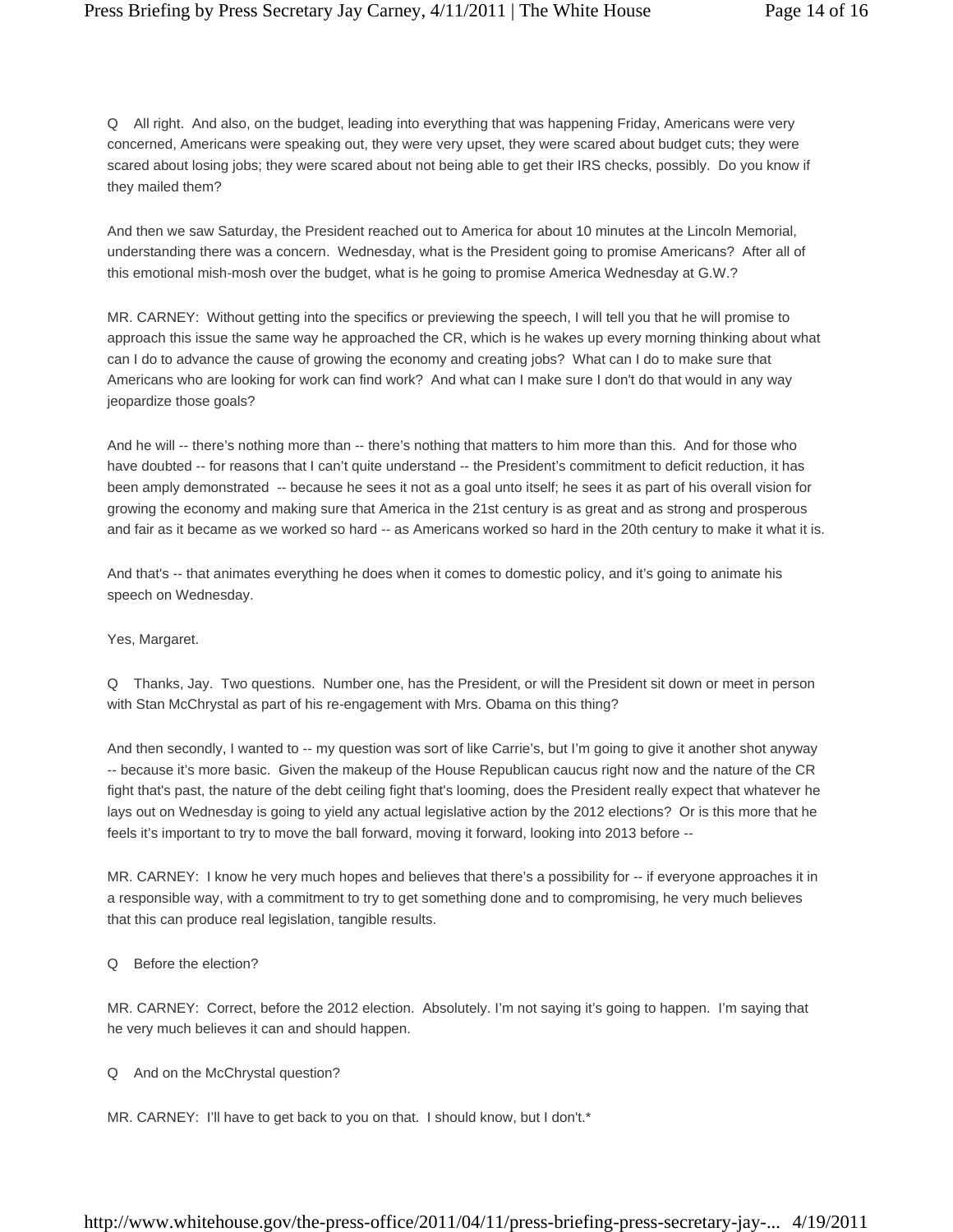Q All right. And also, on the budget, leading into everything that was happening Friday, Americans were very concerned, Americans were speaking out, they were very upset, they were scared about budget cuts; they were scared about losing jobs; they were scared about not being able to get their IRS checks, possibly. Do you know if they mailed them?

And then we saw Saturday, the President reached out to America for about 10 minutes at the Lincoln Memorial, understanding there was a concern. Wednesday, what is the President going to promise Americans? After all of this emotional mish-mosh over the budget, what is he going to promise America Wednesday at G.W.?

MR. CARNEY: Without getting into the specifics or previewing the speech, I will tell you that he will promise to approach this issue the same way he approached the CR, which is he wakes up every morning thinking about what can I do to advance the cause of growing the economy and creating jobs? What can I do to make sure that Americans who are looking for work can find work? And what can I make sure I don't do that would in any way jeopardize those goals?

And he will -- there's nothing more than -- there's nothing that matters to him more than this. And for those who have doubted -- for reasons that I can't quite understand -- the President's commitment to deficit reduction, it has been amply demonstrated -- because he sees it not as a goal unto itself; he sees it as part of his overall vision for growing the economy and making sure that America in the 21st century is as great and as strong and prosperous and fair as it became as we worked so hard -- as Americans worked so hard in the 20th century to make it what it is.

And that's -- that animates everything he does when it comes to domestic policy, and it's going to animate his speech on Wednesday.

# Yes, Margaret.

Q Thanks, Jay. Two questions. Number one, has the President, or will the President sit down or meet in person with Stan McChrystal as part of his re-engagement with Mrs. Obama on this thing?

And then secondly, I wanted to -- my question was sort of like Carrie's, but I'm going to give it another shot anyway -- because it's more basic. Given the makeup of the House Republican caucus right now and the nature of the CR fight that's past, the nature of the debt ceiling fight that's looming, does the President really expect that whatever he lays out on Wednesday is going to yield any actual legislative action by the 2012 elections? Or is this more that he feels it's important to try to move the ball forward, moving it forward, looking into 2013 before --

MR. CARNEY: I know he very much hopes and believes that there's a possibility for -- if everyone approaches it in a responsible way, with a commitment to try to get something done and to compromising, he very much believes that this can produce real legislation, tangible results.

# Q Before the election?

MR. CARNEY: Correct, before the 2012 election. Absolutely. I'm not saying it's going to happen. I'm saying that he very much believes it can and should happen.

Q And on the McChrystal question?

MR. CARNEY: I'll have to get back to you on that. I should know, but I don't.\*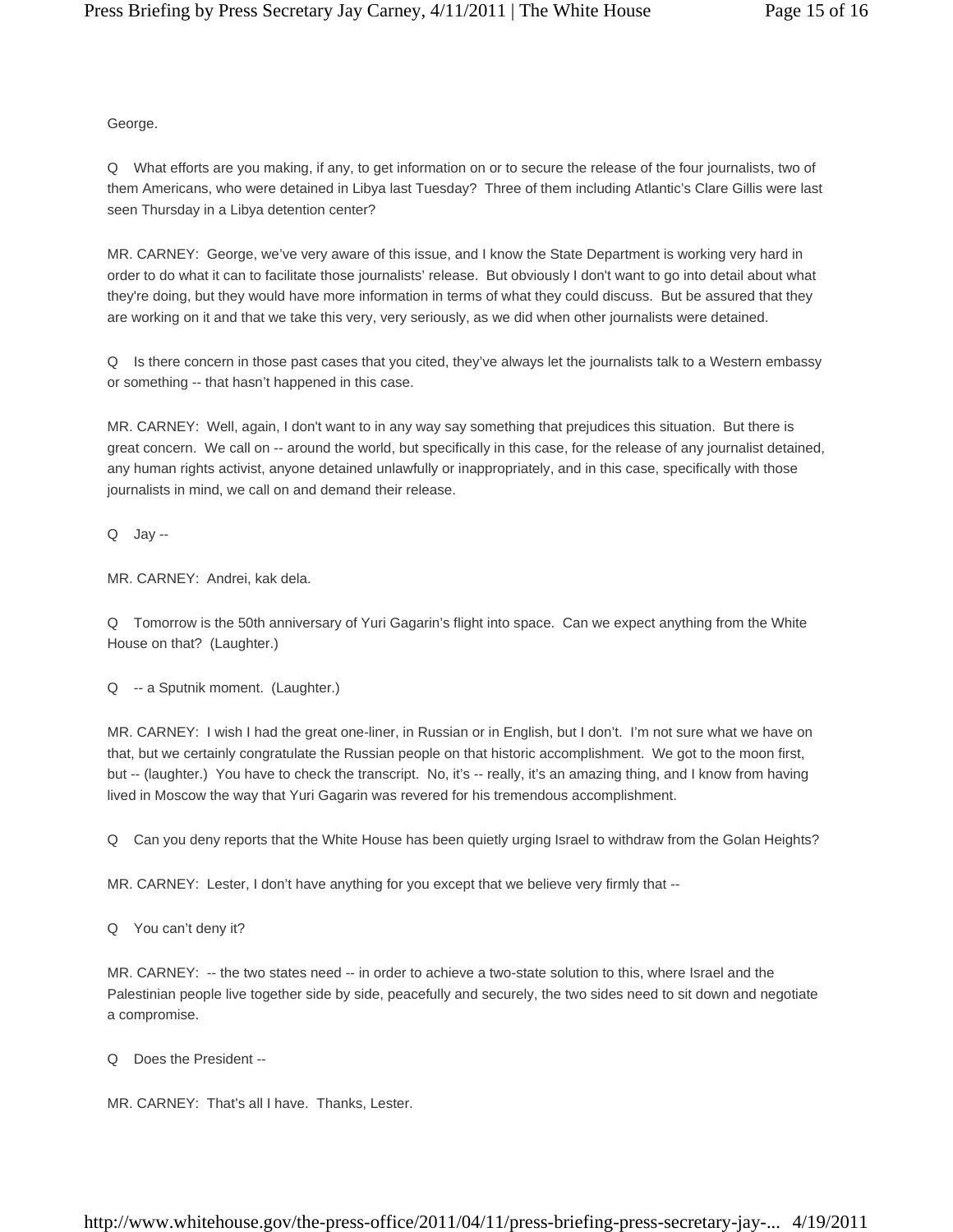George.

Q What efforts are you making, if any, to get information on or to secure the release of the four journalists, two of them Americans, who were detained in Libya last Tuesday? Three of them including Atlantic's Clare Gillis were last seen Thursday in a Libya detention center?

MR. CARNEY: George, we've very aware of this issue, and I know the State Department is working very hard in order to do what it can to facilitate those journalists' release. But obviously I don't want to go into detail about what they're doing, but they would have more information in terms of what they could discuss. But be assured that they are working on it and that we take this very, very seriously, as we did when other journalists were detained.

Q Is there concern in those past cases that you cited, they've always let the journalists talk to a Western embassy or something -- that hasn't happened in this case.

MR. CARNEY: Well, again, I don't want to in any way say something that prejudices this situation. But there is great concern. We call on -- around the world, but specifically in this case, for the release of any journalist detained, any human rights activist, anyone detained unlawfully or inappropriately, and in this case, specifically with those journalists in mind, we call on and demand their release.

Q Jay --

MR. CARNEY: Andrei, kak dela.

Q Tomorrow is the 50th anniversary of Yuri Gagarin's flight into space. Can we expect anything from the White House on that? (Laughter.)

Q -- a Sputnik moment. (Laughter.)

MR. CARNEY: I wish I had the great one-liner, in Russian or in English, but I don't. I'm not sure what we have on that, but we certainly congratulate the Russian people on that historic accomplishment. We got to the moon first, but -- (laughter.) You have to check the transcript. No, it's -- really, it's an amazing thing, and I know from having lived in Moscow the way that Yuri Gagarin was revered for his tremendous accomplishment.

Q Can you deny reports that the White House has been quietly urging Israel to withdraw from the Golan Heights?

MR. CARNEY: Lester, I don't have anything for you except that we believe very firmly that --

Q You can't deny it?

MR. CARNEY: -- the two states need -- in order to achieve a two-state solution to this, where Israel and the Palestinian people live together side by side, peacefully and securely, the two sides need to sit down and negotiate a compromise.

Q Does the President --

MR. CARNEY: That's all I have. Thanks, Lester.